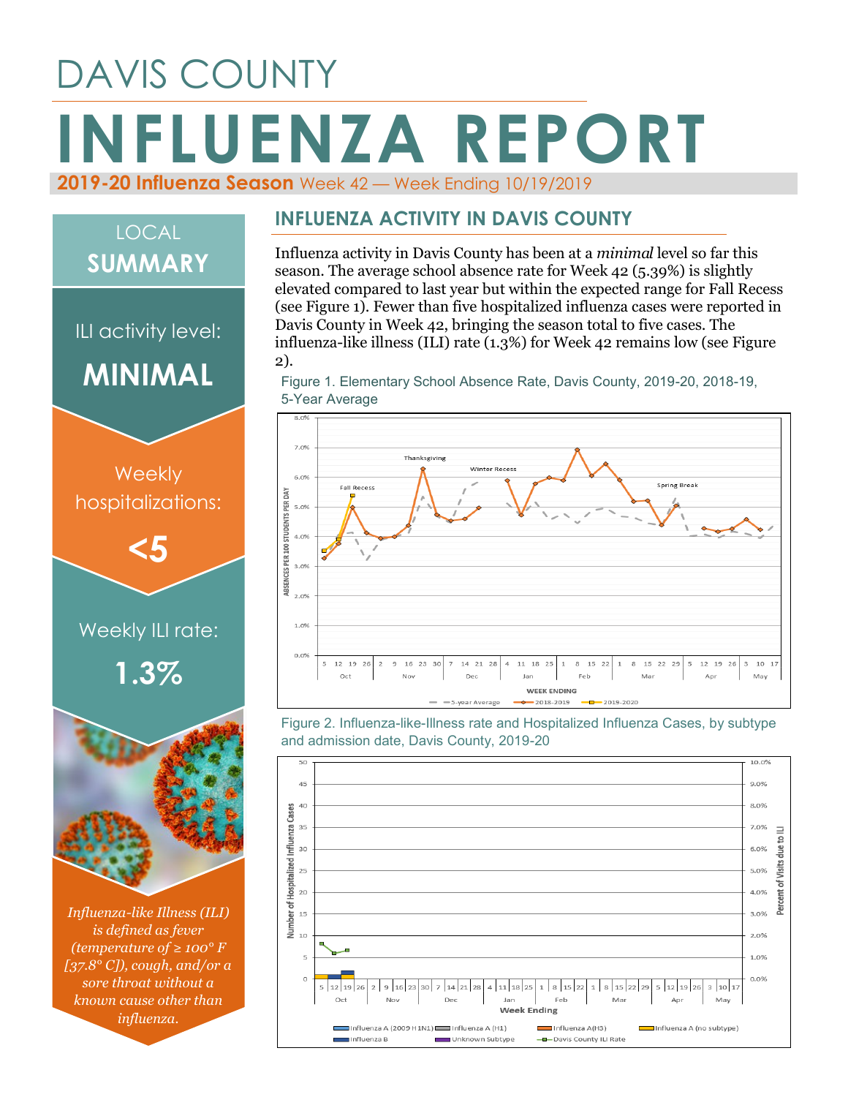# DAVIS COUNTY **INFLUENZA REPORT**



## LOCAL **SUMMARY**ILI activity level: 2). **MINIMAL**  $70%$ **Weekly**  $6.0%$ ABSENCES PER 100 STUDENTS PER DAY hospitalizations: 5.0%  $A = 0.02$ **<5**  $3.0%$  $200$ Weekly ILI rate: 1.0%  $0.0%$ **1.3%** Oct 45  $40$ 35 30  $\overline{25}$  $\overline{20}$ *Influenza-like Illness (ILI)*   $15$

*is defined as fever (temperature of ≥ 100° F [37.8° C]), cough, and/or a sore throat without a known cause other than influenza.*

#### **INFLUENZA ACTIVITY IN DAVIS COUNTY**

Influenza activity in Davis County has been at a *minimal* level so far this season. The average school absence rate for Week 42 (5.39%) is slightly elevated compared to last year but within the expected range for Fall Recess (see Figure 1). Fewer than five hospitalized influenza cases were reported in Davis County in Week 42, bringing the season total to five cases. The influenza-like illness (ILI) rate (1.3%) for Week 42 remains low (see Figure

Figure 1. Elementary School Absence Rate, Davis County, 2019-20, 2018-19, 5-Year Average



Figure 2. Influenza-like-Illness rate and Hospitalized Influenza Cases, by subtype and admission date, Davis County, 2019-20